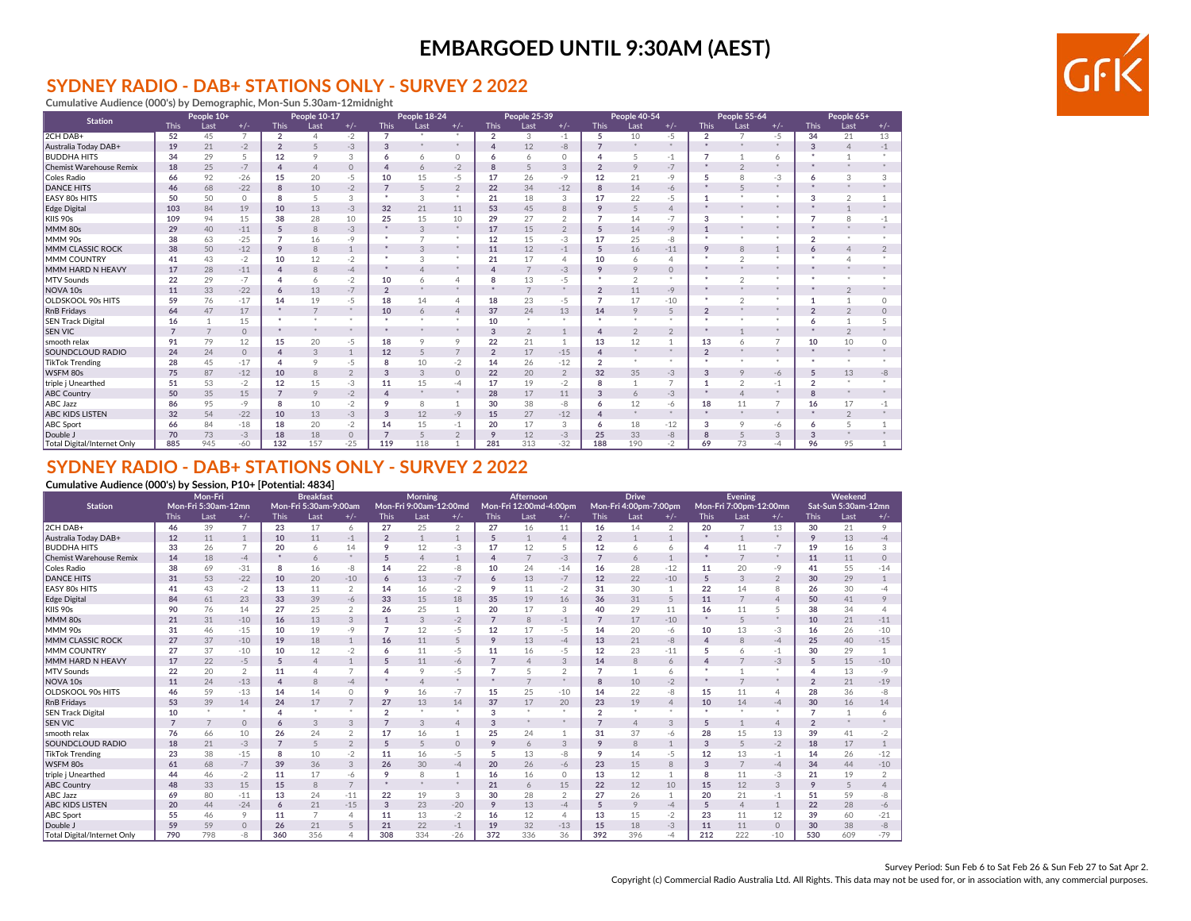### **SYDNEY RADIO - DAB+ STATIONS ONLY - SURVEY 2 2022**

**Cumulative Audience (000's) by Demographic, Mon-Sun 5.30am-12midnight**

| <b>Station</b>                 |                | People 10+     |                |                | People 10-17   |                |                | People 18-24 |                |                | People 25-39   |                |                | <b>People 40-54</b> |                |                      | People 55-64   |                    |                | People 65+     |                |
|--------------------------------|----------------|----------------|----------------|----------------|----------------|----------------|----------------|--------------|----------------|----------------|----------------|----------------|----------------|---------------------|----------------|----------------------|----------------|--------------------|----------------|----------------|----------------|
|                                | <b>This</b>    | Last           | $+/-$          | <b>This</b>    | Last           | $+/-$          | <b>This</b>    | Last         | $+/-$          | <b>This</b>    | Last           | $+/-$          | <b>This</b>    | Last                | $+/-$          | <b>This</b>          | Last           | $+/-$              | <b>This</b>    | Last           | $+/-$          |
| 2CH DAB+                       | 52             | 45             | $\overline{7}$ | $\overline{2}$ |                | $-2$           |                | $\mathbf{x}$ | $\mathbf x$    | $\overline{2}$ | 3              | $-1$           | 5              | 10                  | $-5$           | $\overline{2}$       | $\overline{7}$ | $-5$               | 34             | 21             | 13             |
| Australia Today DAB+           | 19             | 21             | $-2$           | $\overline{2}$ |                | $-3$           | 3              |              |                |                | 12             | $-8$           | $\overline{7}$ | $\mathbf{x}$        | $\mathbf{x}$   | $\mathbf{x}$         | $\mathbf{x}$   | $\dot{\mathbf{x}}$ | 3              | $\Delta$       | $-1$           |
| <b>BUDDHA HITS</b>             | 34             | 29             | 5              | 12             | 9              | 3              | 6              | 6            | $\Omega$       | 6              | 6              | $\Omega$       |                | 5                   | $-1$           |                      |                | 6                  |                |                |                |
| <b>Chemist Warehouse Remix</b> | 18             | 25             | $-7$           | $\overline{4}$ | $\Delta$       | $\circ$        |                | 6            | $-2$           | 8              | 5              | 3              | $\overline{2}$ | $\circ$             | $-7$           |                      | $\overline{2}$ |                    |                |                |                |
| Coles Radio                    | 66             | 92             | $-26$          | 15             | 20             | -5             | 10             | 15           | -5             | 17             | 26             | $-9$           | 12             | 21                  | $-9$           | 5                    | 8              | $-3$               | 6              | 3              | 3              |
| <b>DANCE HITS</b>              | 46             | 68             | $-22$          | 8              | 10             | $-2$           | $\overline{7}$ | 5            | $\overline{2}$ | 22             | 34             | $-12$          | 8              | 14                  | -6             |                      | 5              |                    |                | $\star$        |                |
| <b>EASY 80s HITS</b>           | 50             | 50             | $\Omega$       | 8              | 5              | 3              |                | 3            | $\mathbf{x}$   | 21             | 18             | 3              | 17             | 22                  | -5             |                      | $\ast$         |                    | 3              | $\mathfrak{D}$ |                |
| Edge Digital                   | 103            | 84             | 19             | 10             | 13             | $-3$           | 32             | 21           | 11             | 53             | 45             | 8              | 9              | 5                   | $\overline{4}$ |                      | $\mathbf{x}$   | $\dot{\mathbf{x}}$ |                |                |                |
| KIIS 90s                       | 109            | 94             | 15             | 38             | 28             | 10             | 25             | 15           | 10             | 29             | 27             | $\mathcal{P}$  | $\overline{7}$ | 14                  | $-7$           | 3                    | $\ast$         | $\mathbf{x}$       | $\overline{z}$ | 8              | $-1$           |
| MMM 80s                        | 29             | 40             | $-11$          | 5              | 8              | $-3$           |                | 3            | $*$            | 17             | 15             | $\overline{2}$ | 5              | 14                  | $-9$           | $\mathbf{1}$         | $\ast$         |                    |                |                |                |
| MMM 90s                        | 38             | 63             | $-25$          | $\overline{7}$ | 16             | -9             |                |              |                | 12             | 15             | $-3$           | 17             | 25                  | -8             | $\mathbf{z}$         | $\ast$         |                    | $\sim$         |                |                |
| MMM CLASSIC ROCK               | 38             | 50             | $-12$          | 9              | 8              | $\overline{1}$ |                | 3            | $*$            | 11             | 12             | $-1$           | 5              | 16                  | $-11$          | 9                    | 8              |                    | 6              | $\Delta$       | $\mathfrak{D}$ |
| <b>MMM COUNTRY</b>             | 41             | 43             | $-2$           | 10             | 12             | $-2$           |                | 3            | $\mathbf{x}$   | 21             | 17             | $\overline{4}$ | 10             | 6                   | 4              |                      | $\overline{2}$ |                    |                |                |                |
| MMM HARD N HEAVY               | 17             | 28             | $-11$          | $\overline{4}$ | 8              | $-4$           |                |              | $*$            |                | $\overline{7}$ | $-3$           | 9              | 9                   | $\circ$        |                      | $\ast$         |                    |                |                |                |
| MTV Sounds                     | 22             | 29             | $-7$           | 4              | $\overline{a}$ | $-2$           | 10             | 6            | 4              | 8              | 13             | $-5$           | *              | $\mathfrak{D}$      | $\cdot$        | $\ast$               | 2              | $\ast$             |                |                |                |
| NOVA <sub>10s</sub>            | 11             | 33             | $-22$          | 6              | 13             | $-7$           | $\overline{2}$ |              | $\star$        |                | $\overline{7}$ |                | $\overline{2}$ | 11                  | $-9$           |                      | $\ast$         | $\dot{\mathbf{x}}$ |                |                |                |
| <b>OLDSKOOL 90s HITS</b>       | 59             | 76             | $-17$          | 14             | 19             | $-5$           | 18             | 14           | $\varDelta$    | 18             | 23             | $-5$           | $\overline{7}$ | 17                  | $-10$          | $\ast$               | $\overline{2}$ |                    |                |                | $\Omega$       |
| <b>RnB</b> Fridays             | 64             | 47             | 17             | $\ast$         | $\overline{7}$ | *              | 10             | 6            | $\overline{4}$ | 37             | 24             | 13             | 14             | 9                   | 5              | $\overline{2}$       | $\ast$         | $\dot{\mathbf{x}}$ | $\overline{2}$ | $\overline{2}$ | $\Omega$       |
| <b>SEN Track Digital</b>       | 16             |                | 15             | *              | $\mathbf{x}$   | *              | $\star$        | $\mathbf{x}$ | $\mathbf{x}$   | 10             | $\mathbf x$    | $\sim$         | *              | $\omega$            | $\cdot$        | $\ast$               | $\ast$         | $\mathbf x$        | 6              |                |                |
| <b>SEN VIC</b>                 | $\overline{7}$ | $\overline{7}$ | $\circ$        | *              | $\mathbf{x}$   | *              |                |              | $\star$        | 3              | $\overline{2}$ |                | $\overline{4}$ | $\overline{2}$      | $\overline{2}$ | $\ast$               | $\mathbf{1}$   | $\ast$             |                | $\overline{2}$ |                |
| smooth relax                   | 91             | 79             | 12             | 15             | 20             | $-5$           | 18             | 9            | 9              | 22             | 21             |                | 13             | 12                  |                | 13                   | 6              |                    | 10             | 10             | $\cap$         |
| <b>SOUNDCLOUD RADIO</b>        | 24             | 24             | $\Omega$       | $\overline{4}$ | 3              | $\overline{1}$ | 12             | 5            | $\overline{7}$ | $\overline{2}$ | 17             | $-15$          | $\overline{4}$ |                     | $\mathbf{x}$   | $\overline{2}$       | $\mathbf{x}$   |                    |                |                |                |
| <b>TikTok Trending</b>         | 28             | 45             | $-17$          | $\overline{A}$ | $\circ$        | $-5$           | 8              | 10           | $-2$           | 14             | 26             | $-12$          | $\overline{2}$ | $\mathbf{x}$        | $\cdot$        | $\ddot{\phantom{1}}$ | $\ast$         | $\mathbf{x}$       | - 80           |                |                |
| WSFM 80s                       | 75             | 87             | $-12$          | 10             | 8              | $\overline{2}$ | 3              | 3            | $\circ$        | 22             | 20             | $\overline{2}$ | 32             | 35                  | $-3$           | 3                    | 9              | -6                 | 5              | 13             | $-8$           |
| triple j Unearthed             | 51             | 53             | $-2$           | 12             | 15             | -3             | 11             | 15           | -4             | 17             | 19             | $-2$           | 8              |                     | $\overline{7}$ |                      | $\overline{2}$ | $-1$               | $\overline{2}$ |                |                |
| <b>ABC Country</b>             | 50             | 35             | 15             | $\overline{7}$ | 9              | $-2$           |                |              | $*$            | 28             | 17             | 11             | 3              | 6                   | $-3$           |                      | $\overline{4}$ |                    | $\mathbf{R}$   |                |                |
| ABC Jazz                       | 86             | 95             | $-9$           | 8              | 10             | $-2$           | 9              | 8            |                | 30             | 38             | -8             | 6              | 12                  | -6             | 18                   | 11             | $\overline{7}$     | 16             | 17             | $-1$           |
| <b>ABC KIDS LISTEN</b>         | 32             | 54             | $-22$          | 10             | 13             | $-3$           | 3              | 12           | $-9$           | 15             | 27             | $-12$          | $\Delta$       | $\mathbf{x}$        | $\dot{x}$      |                      | $\ast$         | $\dot{\mathbf{x}}$ |                | $\overline{2}$ |                |
| ABC Sport                      | 66             | 84             | $-18$          | 18             | 20             | $-2$           | 14             | 15           | $-1$           | 20             | 17             | 3              | 6              | 18                  | $-12$          | 3                    | 9              | -6                 | -6             | 5              |                |
| Double J                       | 70             | 73             | $-3$           | 18             | 18             | $\circ$        |                | 5            | $\overline{2}$ | 9              | 12             | $-3$           | 25             | 33                  | $-8$           | 8                    | 5              | 3                  | 3              |                |                |
| Total Digital/Internet Only    | 885            | 945            | $-60$          | 132            | 157            | $-25$          | 119            | 118          |                | 281            | 313            | $-32$          | 188            | 190                 | $-2$           | 69                   | 73             | -4                 | 96             | 95             |                |

### **SYDNEY RADIO - DAB+ STATIONS ONLY - SURVEY 2 2022**

#### **Cumulative Audience (000's) by Session, P10+ [Potential: 4834]**

|                                | Mon-Fri        |                     |                |                | <b>Breakfast</b>      |                |                 | <b>Morning</b>         |                |                | Afternoon              |                |                | <b>Drive</b>          |                |                    | <b>Evening</b>         |                    |                | Weekend             |                |
|--------------------------------|----------------|---------------------|----------------|----------------|-----------------------|----------------|-----------------|------------------------|----------------|----------------|------------------------|----------------|----------------|-----------------------|----------------|--------------------|------------------------|--------------------|----------------|---------------------|----------------|
| <b>Station</b>                 |                | Mon-Fri 5:30am-12mn |                |                | Mon-Fri 5:30am-9:00am |                |                 | Mon-Fri 9:00am-12:00md |                |                | Mon-Fri 12:00md-4:00pm |                |                | Mon-Fri 4:00pm-7:00pm |                |                    | Mon-Fri 7:00pm-12:00mn |                    |                | Sat-Sun 5:30am-12mn |                |
|                                | <b>This</b>    | Last                | $+/-$          | <b>This</b>    | Last                  | $+/-$          | <b>This</b>     | Last                   | $+/-$          | <b>This</b>    | Last                   | $+/-$          | <b>This</b>    | Last                  | $+/-$          | <b>This</b>        | Last                   | $+/-$              | <b>This</b>    | Last                | $+/-$          |
| 2CH DAB+                       | 46             | 39                  | $\overline{7}$ | 23             | 17                    | 6              | 27              | 25                     | $\overline{2}$ | 27             | 16                     | 11             | 16             | 14                    | 2              | 20                 | $\overline{7}$         | 13                 | 30             | 21                  | 9              |
| Australia Today DAB+           | 12             | 11                  |                | 10             | 11                    | $-1$           | $\overline{2}$  |                        | $\mathbf{1}$   | 5              | $\mathbf{1}$           | $\overline{4}$ | $\overline{2}$ | 1                     |                | $\mathbf{\hat{x}}$ | $\overline{1}$         | $\dot{\mathbf{x}}$ | 9              | 13                  | $-4$           |
| <b>BUDDHA HITS</b>             | 33             | 26                  | 7              | 20             | 6                     | 14             | 9               | 12                     | $-3$           | 17             | 12                     | 5              | 12             | 6                     | 6              | Δ                  | 11                     | $-7$               | 19             | 16                  | 3              |
| <b>Chemist Warehouse Remix</b> | 14             | 18                  | $-4$           | *              | 6                     | *              | $5\overline{2}$ | $\Delta$               | $\mathbf{1}$   | $\overline{4}$ | $\overline{7}$         | $-3$           | $\overline{7}$ | 6                     | $\mathbf{1}$   |                    | $\overline{7}$         | $\ast$             | 11             | 11                  | $\Omega$       |
| Coles Radio                    | 38             | 69                  | $-31$          | 8              | 16                    | -8             | 14              | 22                     | -8             | 10             | 24                     | $-14$          | 16             | 28                    | $-12$          | 11                 | 20                     | -9                 | 41             | 55                  | $-14$          |
| <b>DANCE HITS</b>              | 31             | 53                  | $-22$          | 10             | 20                    | $-10$          | 6               | 13                     | $-7$           | 6              | 13                     | $-7$           | 12             | 22                    | $-10$          | 5                  | 3                      | $\overline{2}$     | 30             | 29                  |                |
| <b>EASY 80s HITS</b>           | 41             | 43                  | $-2$           | 13             | 11                    | $\overline{2}$ | 14              | 16                     | $-2$           | 9              | 11                     | $-2$           | 31             | 30                    |                | 22                 | 14                     | 8                  | 26             | 30                  | -4             |
| Edge Digital                   | 84             | 61                  | 23             | 33             | 39                    | $-6$           | 33              | 15                     | 18             | 35             | 19                     | 16             | 36             | 31                    | 5              | 11                 | $\overline{7}$         | $\overline{4}$     | 50             | 41                  |                |
| KIIS 90s                       | 90             | 76                  | 14             | 27             | 25                    | $\overline{2}$ | 26              | 25                     | 1              | 20             | 17                     | 3              | 40             | 29                    | 11             | 16                 | 11                     | 5                  | 38             | 34                  |                |
| MMM 80s                        | 21             | 31                  | $-10$          | 16             | 13                    | 3              |                 | 3                      | $-2$           | $\overline{7}$ | 8                      | $-1$           | $\overline{7}$ | 17                    | $-10$          | $\mathbf{z}$       | 5                      | $\mathbf{x}$       | 10             | 21                  | $-11$          |
| MMM 90s                        | 31             | 46                  | $-15$          | 10             | 19                    | $-9$           |                 | 12                     | $-5$           | 12             | 17                     | $-5$           | 14             | 20                    | -6             | 10                 | 13                     | $-3$               | 16             | 26                  | $-10$          |
| MMM CLASSIC ROCK               | 27             | 37                  | $-10$          | 19             | 18                    |                | 16              | 11                     | 5              | 9              | 13                     | $-4$           | 13             | 21                    | -8             | $\Delta$           | 8                      | $-4$               | 25             | 40                  | $-15$          |
| <b>MMM COUNTRY</b>             | 27             | 37                  | $-10$          | 10             | 12                    | $-2$           |                 | 11                     | $-5$           | 11             | 16                     | $-5$           | 12             | 23                    | $-11$          | 5                  | 6                      | $-1$               | 30             | 29                  |                |
| MMM HARD N HEAVY               | 17             | 22                  | $-5$           | 5              | $\Delta$              | $\mathbf{1}$   |                 | 11                     | -6             |                | $\overline{4}$         | 3              | 14             | 8                     | 6              | $\Delta$           |                        | $-3$               | 5              | 15                  | $-10$          |
| <b>MTV Sounds</b>              | 22             | 20                  | $\overline{2}$ | 11             | 4                     | 7              |                 | $\circ$                | -5             | 7              | 5                      | $\overline{2}$ | $\overline{7}$ |                       | 6              | *                  |                        | $\dot{\mathbf{x}}$ |                | 13                  | -9             |
| NOVA <sub>10s</sub>            | 11             | 24                  | $-13$          | $\overline{4}$ | 8                     | $-4$           |                 |                        | $*$            |                | $\overline{7}$         | $*$            | 8              | 10                    | $-2$           |                    | $\overline{7}$         |                    | $\overline{2}$ | 21                  | $-19$          |
| <b>OLDSKOOL 90s HITS</b>       | 46             | 59                  | $-13$          | 14             | 14                    | $\Omega$       | $\circ$         | 16                     | $-7$           | 15             | 25                     | $-10$          | 14             | 22                    | -8             | 15                 | 11                     | 4                  | 28             | 36                  | -8             |
| <b>RnB</b> Fridays             | 53             | 39                  | 14             | 24             | 17                    |                | 27              | 13                     | 14             | 37             | 17                     | 20             | 23             | 19                    | $\overline{4}$ | 10                 | 14                     | $-4$               | 30             | 16                  | 14             |
| <b>SEN Track Digital</b>       | 10             | $\ast$              | $\ast$         | $\overline{A}$ | *                     | $\ast$         | $\Omega$        | $\star$                | $*$            | 3              | $*$                    | $\ast$         | $\overline{2}$ | $\ast$                | $\ast$         | ×                  | $\mathbf{x}$           | $\mathbf{x}$       |                | 1                   |                |
| <b>SEN VIC</b>                 | $\overline{7}$ | 7                   | $\Omega$       | 6              | 3                     | 3              |                 | 3                      | $\overline{4}$ | 3              | $*$                    | $*$            | $\overline{7}$ | $\overline{4}$        | 3              | 5                  | 1                      | $\overline{4}$     | $\overline{2}$ | $*$                 |                |
| smooth relax                   | 76             | 66                  | 10             | 26             | 24                    | $\overline{2}$ | 17              | 16                     |                | 25             | 24                     |                | 31             | 37                    | -6             | 28                 | 15                     | 13                 | 39             | 41                  | $-2$           |
| SOUNDCLOUD RADIO               | 18             | 21                  | $-3$           | $\overline{7}$ | 5                     | $\overline{2}$ |                 | 5                      | $\circ$        | 9              | 6                      | 3              | 9              | 8                     | $\mathbf{1}$   | 3                  | 5                      | $-2$               | 18             | 17                  | $\mathbf{1}$   |
| <b>TikTok Trending</b>         | 23             | 38                  | $-15$          | 8              | 10                    | $-2$           | 11              | 16                     | $-5$           | 5              | 13                     | -8             | 9              | 14                    | $-5$           | 12                 | 13                     | $-1$               | 14             | 26                  | $-12$          |
| WSFM 80s                       | 61             | 68                  | $-7$           | 39             | 36                    | 3              | 26              | 30                     | $-4$           | 20             | 26                     | -6             | 23             | 15                    | 8              | 3                  | 7                      | $-4$               | 34             | 44                  | $-10$          |
| triple j Unearthed             | 44             | 46                  | $-2$           | 11             | 17                    | -6             | 9               | 8                      | 1              | 16             | 16                     | $\Omega$       | 13             | 12                    | -1             | 8                  | 11                     | -3                 | 21             | 19                  | $\mathfrak{D}$ |
| <b>ABC Country</b>             | 48             | 33                  | 15             | 15             | 8                     | $\overline{7}$ |                 | $\star$                | $*$            | 21             | 6                      | 15             | 22             | 12                    | 10             | 15                 | 12                     | 3                  | $\mathsf Q$    | 5                   |                |
| ABC Jazz                       | 69             | 80                  | $-11$          | 13             | 24                    | $-11$          | 22              | 19                     | 3              | 30             | 28                     |                | 27             | 26                    |                | 20                 | 21                     | -1                 | 51             | 59                  | -8             |
| <b>ABC KIDS LISTEN</b>         | 20             | 44                  | $-24$          | 6              | 21                    | $-15$          | 3               | 23                     | $-20$          | 9              | 13                     | $-4$           | 5              | 9                     | $-4$           | $5\overline{2}$    | $\Delta$               |                    | 22             | 28                  | -6             |
| ABC Sport                      | 55             | 46                  | $\circ$        | 11             | 7                     | $\Delta$       | 11              | 13                     | $-2$           | 16             | 12                     | $\Delta$       | 13             | 15                    | $-2$           | 23                 | 11                     | 12                 | 39             | 60                  | $-21$          |
| Double J                       | 59             | 59                  | $\circ$        | 26             | 21                    | 5              | 21              | 22                     | $-1$           | 19             | 32                     | $-13$          | 15             | 18                    | $-3$           | 11                 | 11                     | $\circ$            | 30             | 38                  | -8             |
| Total Digital/Internet Only    | 790            | 798                 | -8             | 360            | 356                   | 4              | 308             | 334                    | $-26$          | 372            | 336                    | 36             | 392            | 396                   | $-4$           | 212                | 222                    | $-10$              | 530            | 609                 | $-79$          |



Copyright (c) Commercial Radio Australia Ltd. All Rights. This data may not be used for, or in association with, any commercial purposes.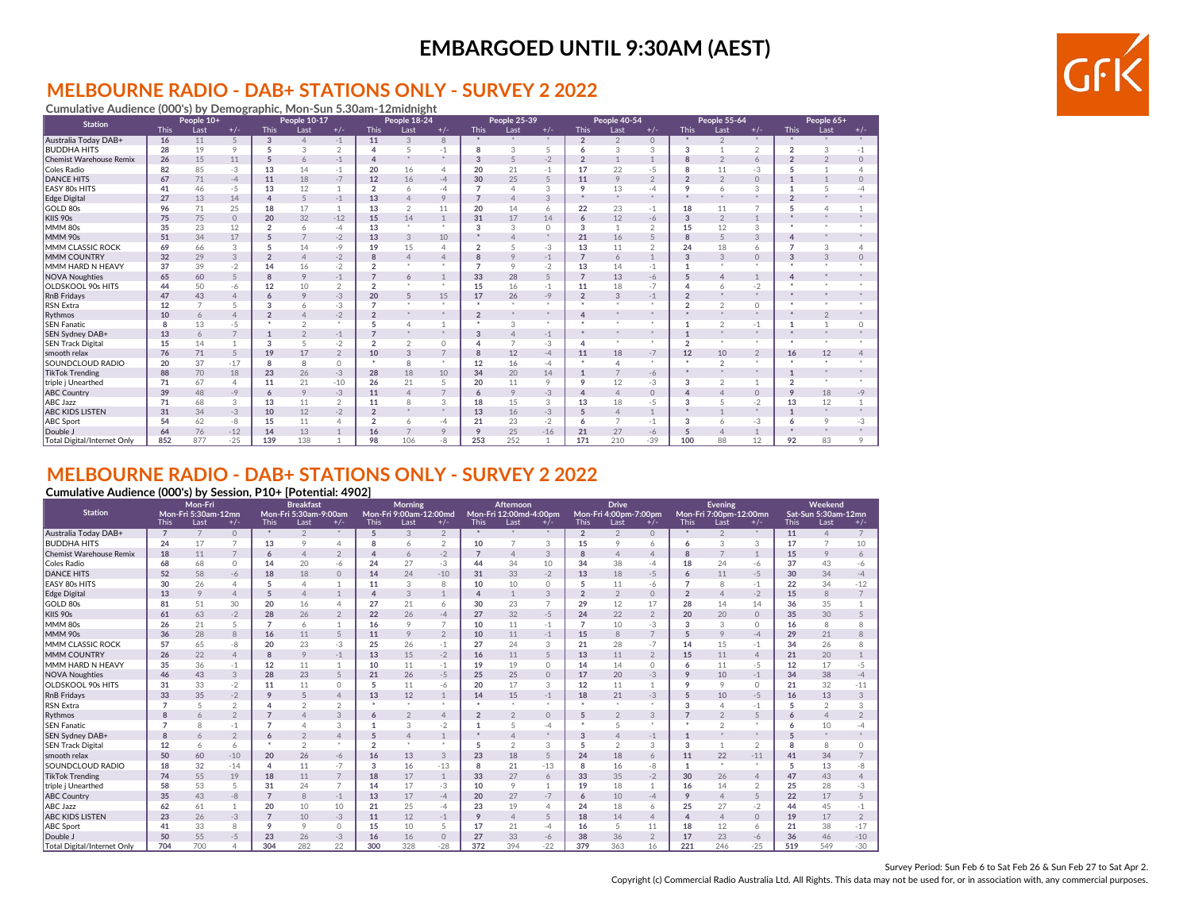### **MELBOURNE RADIO - DAB+ STATIONS ONLY - SURVEY 2 2022**

**Cumulative Audience (000's) by Demographic, Mon-Sun 5.30am-12midnight** This Last +/- This Last +/- This Last +/- This Last +/- This Last +/- This Last +/- This Last +/- Australia Today DAB+ **16** 11 5 **3** 4 -1 **11** 3 8 **\*** \* \* **2** 2 0 **\*** 2 \* **\*** \* \* BUDDHA HITS **28** 19 9 **5** 3 2 **4** 5 -1 **8** 3 5 **6** 3 3 **3** 1 2 **2** 3 -1 Chemist Warehouse Remix **26** 15 11 **5** 6 -1 **4** \* \* **3** 5 -2 **2** 1 1 **8** 2 6 **2** 2 0 Coles Radio **82** 85 -3 **13** 14 -1 **20** 16 4 **20** 21 -1 **17** 22 -5 **8** 11 -3 **5** 1 4 DANCE HITS **67** 71 -4 **11** 18 -7 **12** 16 -4 **30** 25 5 **11** 9 2 **2** 2 0 **1** 1 0 EASY 80s HITS **41** 46 -5 **13** 12 1 **2** 6 -4 **7** 4 3 **9** 13 -4 **9** 6 3 **1** 5 -4 Edge Digital **27** 13 14 **4** 5 -1 **13** 4 9 **7** 4 3 **\*** \* \* **\*** \* \* **2** \* \* GOLD 80s **96** 71 25 **18** 17 1 **13** 2 11 **20** 14 6 **22** 23 -1 **18** 11 7 **5** 4 1 KIIS 90s **75** 75 0 **20** 32 -12 **15** 14 1 **31** 17 14 **6** 12 -6 **3** 2 1 **\*** \* \* MMM 80s **35** 23 12 **2** 6 -4 **13** \* \* **3** 3 0 **3** 1 2 **15** 12 3 **\*** \* \* MMM 90s **51** 34 17 **5** 7 -2 **13** 3 10 **\*** 4 \* **21** 16 5 **8** 5 3 **4** \* \* MMM CLASSIC ROCK **69** 66 3 **5** 14 -9 **19** 15 4 **2** 5 -3 **13** 11 2 **24** 18 6 **7** 3 4 MMM COUNTRY **32** 29 3 **2** 4 -2 **8** 4 4 **8** 9 -1 **7** 6 1 **3** 3 0 **3** 3 0 MMM HARD N HEAVY **37** 39 -2 **14** 16 -2 **2** \* \* **7** 9 -2 **13** 14 -1 **1** \* \* **\*** \* \* NOVA Noughties **65** 60 5 **8** 9 -1 **7** 6 1 **33** 28 5 **7** 13 -6 **5** 4 1 **4** \* \* OLDSKOOL 90s HITS **44** 50 -6 **12** 10 2 **2** \* \* **15** 16 -1 **11** 18 -7 **4** 6 -2 **\*** \* \* **People 55-64 People 65+ Station People 10+ People 10-17 People 18-24 People 25-39 People 40-54**

### **MELBOURNE RADIO - DAB+ STATIONS ONLY - SURVEY 2 2022**

**Cumulative Audience (000's) by Session, P10+ [Potential: 4902]**

|                                    |                | Mon-Fri             |                |                | <b>Breakfast</b>      |                |                | Morning                |                |                | Afternoon              |                |                | <b>Drive</b>          |                |                 | <b>Evening</b>         |                |             | Weekend             |                |
|------------------------------------|----------------|---------------------|----------------|----------------|-----------------------|----------------|----------------|------------------------|----------------|----------------|------------------------|----------------|----------------|-----------------------|----------------|-----------------|------------------------|----------------|-------------|---------------------|----------------|
| <b>Station</b>                     |                | Mon-Fri 5:30am-12mn |                |                | Mon-Fri 5:30am-9:00am |                |                | Mon-Fri 9:00am-12:00md |                |                | Mon-Fri 12:00md-4:00pm |                |                | Mon-Fri 4:00pm-7:00pm |                |                 | Mon-Fri 7:00pm-12:00mn |                |             | Sat-Sun 5:30am-12mn |                |
|                                    | <b>This</b>    | Last                | $+/-$          | <b>This</b>    | Last                  | $+/-$          | <b>This</b>    | Last                   | $+/-$          | <b>This</b>    | Last                   | $+/-$          | <b>This</b>    | Last                  | $+/-$          | <b>This</b>     | Last                   | $+/-$          | <b>This</b> | Last                | $+/-$          |
| Australia Today DAB+               | $\overline{7}$ |                     | $\Omega$       | *              | $\overline{2}$        | *              | 5              | 3                      | $\overline{2}$ | $\star$        | *                      | $+$            | $\overline{2}$ | $\overline{2}$        | $\circ$        |                 | $\overline{2}$         |                | 11          | $\overline{4}$      | $\overline{7}$ |
| <b>BUDDHA HITS</b>                 | 24             | 17                  | $\overline{ }$ | 13             | 9                     | $\overline{4}$ | 8              | 6                      | $\overline{2}$ | 10             | $\overline{7}$         | 3              | 15             | 9                     | 6              | 6               | 3                      | 3              | 17          | $\overline{7}$      | 10             |
| <b>Chemist Warehouse Remix</b>     | 18             | 11                  |                | 6              | $\overline{4}$        | $\overline{2}$ | 4              | 6                      | $-2$           |                | $\overline{4}$         | 3              | 8              | $\overline{4}$        | $\overline{4}$ | 8               | $\overline{7}$         | $\mathbf{1}$   | 15          | 9                   | 6              |
| Coles Radio                        | 68             | 68                  | $\Omega$       | 14             | 20                    | -6             | 24             | 27                     | $-3$           | 44             | 34                     | 10             | 34             | 38                    | $-4$           | 18              | 24                     | -6             | 37          | 43                  | -6             |
| <b>DANCE HITS</b>                  | 52             | 58                  | $-6$           | 18             | 18                    | $\circ$        | 14             | 24                     | $-10$          | 31             | 33                     | $-2$           | 13             | 18                    | $-5$           | 6               | 11                     | $-5$           | 30          | 34                  | $-4$           |
| EASY 80s HITS                      | 30             | 26                  | $\Delta$       | 5              | 4                     | $\mathbf{1}$   | 11             | 3                      | 8              | 10             | 10                     | $\Omega$       | 5              | 11                    | -6             |                 | 8                      | $-1$           | 22          | 34                  | $-12$          |
| <b>Edge Digital</b>                | 13             | 9                   | $\Delta$       | 5              | $\Delta$              | $\mathbf{1}$   | $\Delta$       | 3                      |                | $\Delta$       | $\mathbf{1}$           | 3              | $\overline{2}$ | $\overline{2}$        | $\circ$        | $\overline{2}$  | $\Delta$               | $-2$           | 15          | 8                   | $\overline{7}$ |
| GOLD 80s                           | 81             | 51                  | 30             | 20             | 16                    | $\overline{4}$ | 27             | 21                     | 6              | 30             | 23                     | $\overline{7}$ | 29             | 12                    | 17             | 28              | 14                     | 14             | 36          | 35                  |                |
| KIIS 90s                           | 61             | 63                  | $-2$           | 28             | 26                    | $\overline{2}$ | 22             | 26                     | $-4$           | 27             | 32                     | $-5$           | 24             | 22                    | $\overline{2}$ | 20              | 20                     | $\circ$        | 35          | 30                  |                |
| MMM 80s                            | 26             | 21                  | 5              | $\overline{7}$ | 6                     | 1              | 16             | 9                      | $\overline{7}$ | 10             | 11                     | $-1$           | $\overline{7}$ | 10                    | $-3$           | 3               | 3                      | $\Omega$       | 16          | 8                   |                |
| MMM 90s                            | 36             | 28                  | 8              | 16             | 11                    | 5              | 11             | 9                      | $\overline{2}$ | 10             | 11                     | $-1$           | 15             | 8                     | $\overline{7}$ | 5               | 9                      | $-4$           | 29          | 21                  |                |
| MMM CLASSIC ROCK                   | 57             | 65                  | -8             | 20             | 23                    | $-3$           | 25             | 26                     | $-1$           | 27             | 24                     | 3              | 21             | 28                    | $-7$           | 14              | 15                     | $-1$           | 34          | 26                  |                |
| MMM COUNTRY                        | 26             | 22                  | $\Delta$       | 8              | 9                     | $-1$           | 13             | 15                     | $-2$           | 16             | 11                     | 5              | 13             | 11                    | $\overline{2}$ | 15              | 11                     | $\overline{4}$ | 21          | 20                  |                |
| MMM HARD N HEAVY                   | 35             | 36                  | $-1$           | 12             | 11                    | 1              | 10             | 11                     | $-1$           | 19             | 19                     | $\Omega$       | 14             | 14                    | $\circ$        | 6               | 11                     | $-5$           | 12          | 17                  | $-5$           |
| <b>NOVA Noughties</b>              | 46             | 43                  | 3              | 28             | 23                    | 5              | 21             | 26                     | $-5$           | 25             | 25                     | $\circ$        | 17             | 20                    | $-3$           | 9               | 10                     | $-1$           | 34          | 38                  | $-4$           |
| OLDSKOOL 90s HITS                  | 31             | 33                  | $-2$           | 11             | 11                    | $\Omega$       | 5              | 11                     | $-6$           | 20             | 17                     | 3              | 12             | 11                    | 1              | 9               | 9                      | $\Omega$       | 21          | 32                  | $-11$          |
| <b>RnB Fridays</b>                 | 33             | 35                  | $-2$           | 9              | 5                     | $\overline{4}$ | 13             | 12                     | 1              | 14             | 15                     | $-1$           | 18             | 21                    | $-3$           | $5\overline{2}$ | 10                     | $-5$           | 16          | 13                  | 3              |
| <b>RSN Extra</b>                   |                |                     | $\overline{2}$ | $\Delta$       | $\mathfrak{D}$        | $\overline{2}$ |                | ×                      |                |                |                        |                | ٠              |                       | ×              | 3               | $\overline{4}$         | $-1$           |             | $\overline{2}$      | 3              |
| Rythmos                            | 8              | 6                   | $\mathfrak{D}$ | $\overline{7}$ |                       | 3              | 6              | $\overline{2}$         | $\Delta$       | $\overline{2}$ | $\overline{2}$         | $\Omega$       | 5              | $\mathfrak{D}$        | 3              | $\overline{7}$  | $\overline{2}$         | $\sqrt{2}$     | 6           | $\overline{4}$      | $\mathfrak{D}$ |
| <b>SEN Fanatic</b>                 |                | $\mathsf{R}$        | $-1$           | $\overline{7}$ |                       | 3              |                | 3                      | $-2$           |                | 5                      | -4             |                |                       | $\ast$         |                 | $\mathfrak{D}$         |                | 6           | 10                  | -4             |
| SEN Sydney DAB+                    | 8              | 6                   | $\overline{2}$ | 6              | $\mathfrak{D}$        | $\overline{4}$ | 5              | $\overline{4}$         |                |                | $\Delta$               | $\frac{1}{2}$  | 3              |                       | $-1$           | 1               | *                      |                |             | *                   |                |
| <b>SEN Track Digital</b>           | 12             | 6                   | 6              | $\star$        | $\mathfrak{D}$        | $\ast$         | $\overline{2}$ | $\ast$                 | $\mathbf{x}$   |                | $\overline{2}$         | 3              | 5              | $\mathfrak{D}$        | 3              | 3               | $\overline{1}$         | $\overline{2}$ | 8           | 8                   | $\cap$         |
| smooth relax                       | 50             | 60                  | $-10$          | 20             | 26                    | $-6$           | 16             | 13                     | 3              | 23             | 18                     | 5              | 24             | 18                    | 6              | 11              | 22                     | $-11$          | 41          | 34                  |                |
| SOUNDCLOUD RADIO                   | 18             | 32                  | $-14$          | 4              | 11                    | $-7$           | 3              | 16                     | $-13$          | 8              | 21                     | $-13$          | 8              | 16                    | -8             | 1               | ×                      |                | 5           | 13                  | -8             |
| <b>TikTok Trending</b>             | 74             | 55                  | 19             | 18             | 11                    | $\overline{7}$ | 18             | 17                     |                | 33             | 27                     | 6              | 33             | 35                    | $-2$           | 30              | 26                     | $\overline{4}$ | 47          | 43                  |                |
| triple j Unearthed                 | 58             | 53                  | 5              | 31             | 24                    | $\overline{7}$ | 14             | 17                     | $-3$           | 10             | 9                      |                | 19             | 18                    | $\overline{1}$ | 16              | 14                     | $\overline{2}$ | 25          | 28                  | $-3$           |
| <b>ABC Country</b>                 | 35             | 43                  | -8             | $\overline{7}$ | 8                     | $-1$           | 13             | 17                     | $-4$           | 20             | 27                     | $-7$           | 6              | 10                    | $-4$           | 9               | $\overline{4}$         | 5              | 22          | 17                  |                |
| <b>ABC Jazz</b>                    | 62             | 61                  | 1              | 20             | 10                    | 10             | 21             | 25                     | $-4$           | 23             | 19                     | $\varDelta$    | 24             | 18                    | 6              | 25              | 27                     | $-2$           | 44          | 45                  | - 1            |
| <b>ABC KIDS LISTEN</b>             | 23             | 26                  | $-3$           | $\overline{7}$ | 10                    | $-3$           | 11             | 12                     | $-1$           | $\circ$        | $\overline{4}$         | 5              | 18             | 14                    | $\overline{4}$ | 4               | $\overline{4}$         | $\Omega$       | 19          | 17                  | $\mathfrak{D}$ |
| <b>ABC Sport</b>                   | 41             | 33                  | 8              | 9              | 9                     | $\circ$        | 15             | 10                     | 5              | 17             | 21                     | $-4$           | 16             | 5                     | 11             | 18              | 12                     | 6              | 21          | 38                  | $-17$          |
| Double J                           | 50             | 55                  | $-5$           | 23             | 26                    | $-3$           | 16             | 16                     | $\circ$        | 27             | 33                     | -6             | 38             | 36                    | $\overline{2}$ | 17              | 23                     | $-6$           | 36          | 46                  | $-10$          |
| <b>Total Digital/Internet Only</b> | 704            | 700                 |                | 304            | 282                   | 22             | 300            | 328                    | $-28$          | 372            | 394                    | $-22$          | 379            | 363                   | 16             | 221             | 246                    | $-25$          | 519         | 549                 | $-30$          |

RnB Fridays **47** 43 4 **6** 9 -3 **20** 5 15 **17** 26 -9 **2** 3 -1 **2** \* \* **\*** \* \* RSN Extra **12** 7 5 **3** 6 -3 **7** \* \* **\*** \* \* **\*** \* \* **2** 2 0 **\*** \* \* Rythmos **10** 6 4 **2** 4 -2 **2** \* \* **2** \* \* **4** \* \* **\*** \* \* **\*** 2 \* SEN Fanatic **8** 13 -5 **\*** 2 \* **5** 4 1 **\*** 3 \* **\*** \* \* **1** 2 -1 **1** 1 0 SEN Sydney DAB+ **13** 6 7 **1** 2 -1 **7** \* \* **3** 4 -1 **\*** \* \* **1** \* \* **\*** \* \* SEN Track Digital **15** 14 1 **3** 5 -2 **2** 2 0 **4** 7 -3 **4** \* \* **2** \* \* **\*** \* \* smooth relax **76** 71 5 **19** 17 2 **10** 3 7 **8** 12 -4 **11** 18 -7 **12** 10 2 **16** 12 4 SOUNDCLOUD RADIO **20** 37 -17 **8** 8 0 **\*** 8 \* **12** 16 -4 **\*** 4 \* **\*** 2 \* **\*** \* \* TikTok Trending **88** 70 18 **23** 26 -3 **28** 18 10 **34** 20 14 **1** 7 -6 **\*** \* \* **1** \* \* triple j Unearthed **71** 67 4 **11** 21 -10 **26** 21 5 **20** 11 9 **9** 12 -3 **3** 2 1 **2** \* \* ABC Country **39** 48 -9 **6** 9 -3 **11** 4 7 **6** 9 -3 **4** 4 0 **4** 4 0 **9** 18 -9 ABC Jazz **71** 68 3 **13** 11 2 **11** 8 3 **18** 15 3 **13** 18 -5 **3** 5 -2 **13** 12 1 ABC KIDS LISTEN **31** 34 -3 **10** 12 -2 **2** \* \* **13** 16 -3 **5** 4 1 **\*** 1 \* **1** \* \* ABC Sport **54** 62 -8 **15** 11 4 **2** 6 -4 **21** 23 -2 **6** 7 -1 **3** 6 -3 **6** 9 -3 Double J **64** 76 -12 **14** 13 1 **16** 7 9 **9** 25 -16 **21** 27 -6 **5** 4 1 **\*** \* \* Total Digital/Internet Only **852** 877 -25 **139** 138 1 **98** 106 -8 **253** 252 1 **171** 210 -39 **100** 88 12 **92** 83 9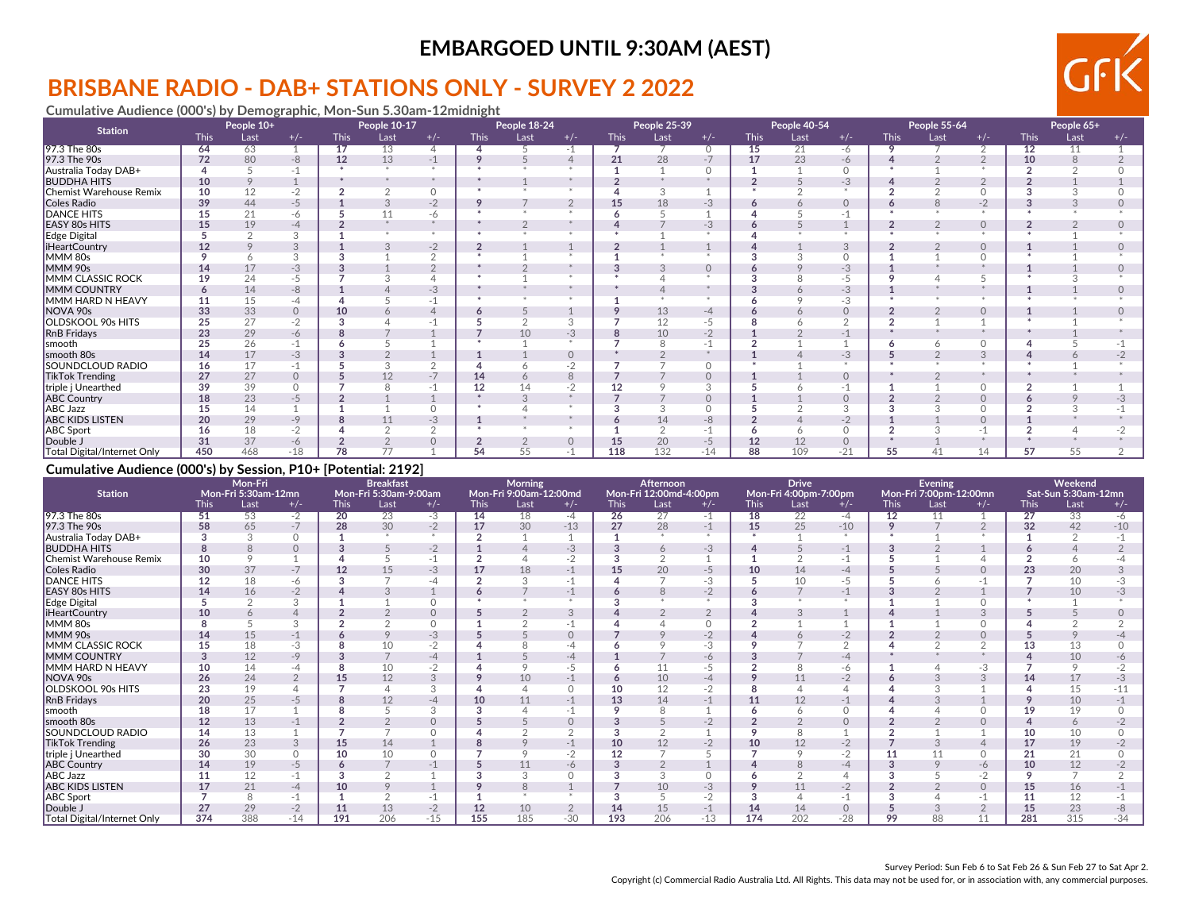# **BRISBANE RADIO - DAB+ STATIONS ONLY - SURVEY 2 2022**

**Cumulative Audience (000's) by Demographic, Mon-Sun 5.30am-12midnight**

| <b>Station</b>              |             | People 10+ |          |             | People 10-17 |                |                | People 18-24 |                |             | People 25-39 |          |             | People 40-54 |          |             | People 55-64 |            |             | People 65+ |       |
|-----------------------------|-------------|------------|----------|-------------|--------------|----------------|----------------|--------------|----------------|-------------|--------------|----------|-------------|--------------|----------|-------------|--------------|------------|-------------|------------|-------|
|                             | <b>This</b> | Last       | $+/-$    | <b>This</b> | Last         | $+/-$          | <b>This</b>    | Last         | $+/-$          | <b>This</b> | Last         | $+/-$    | <b>This</b> | Last         | $+/-$    | <b>This</b> | Last         | $+/-$      | <b>This</b> | Last       | $+/-$ |
| 97.3 The 80s                | 64          | 63         |          | 17          | 13           | $\overline{4}$ |                |              | -1             |             |              | $\circ$  | 15          | 21           | -6       | 9           |              | $\sqrt{2}$ | 12          | 11         |       |
| 97.3 The 90s                | 72          | 80         | $-8$     | 12          | 13           | $-1$           | 9              |              |                | 21          | 28           | $-7$     | 17          | 23           | $-6$     |             |              |            | 10          |            |       |
| Australia Today DAB+        |             |            |          |             |              |                |                |              |                |             |              |          |             |              | $\circ$  |             |              |            |             |            |       |
| <b>BUDDHA HITS</b>          | 10          | Q          |          |             |              |                |                |              |                |             |              |          |             |              | $-3$     |             |              |            |             |            |       |
| Chemist Warehouse Remix     | 10          | 12         | $-2$     |             |              | $\Omega$       |                |              |                |             | J.           |          |             |              |          |             |              |            |             |            |       |
| Coles Radio                 | 39          | 44         | $-5$     |             |              | $-2$           | 9              |              | $\overline{2}$ | 15          | 18           | $-3$     | 6           |              | $\circ$  | Ô           | 8            | $-2$       |             |            |       |
| <b>DANCE HITS</b>           | 15          | 21         | -6       |             | 11           | -6             |                |              |                |             |              |          |             |              | $-1$     |             |              |            |             |            |       |
| EASY 80s HITS               | 15          | 19         | -4       |             |              |                |                |              |                |             |              | -3       |             |              |          |             |              | $\circ$    |             |            |       |
| Edge Digital                |             |            |          |             |              | $\mathcal{R}$  |                |              |                |             |              |          |             |              | ×        |             |              |            |             |            |       |
| <b>iHeartCountry</b>        | 12          |            |          |             |              | $-2$           | $\overline{2}$ |              |                |             |              |          |             |              | 3        |             |              | $\Omega$   |             |            |       |
| MMM 80s                     |             |            |          |             |              | $\sim$         |                |              |                |             |              |          |             |              | $\cap$   |             |              |            |             |            |       |
| MMM 90s                     | 14          | 17         | -3       |             |              | $\Omega$       |                |              |                |             |              | $\Omega$ |             |              | $-3$     |             |              |            |             |            |       |
| MMM CLASSIC ROCK            | 19          | 24         | -5       |             |              | 4              |                |              |                |             |              |          |             |              | -5       |             |              |            |             |            |       |
| MMM COUNTRY                 |             | 14         | -8       |             |              | $-3$           |                |              |                |             |              |          |             |              | $-3$     |             |              |            |             |            |       |
| MMM HARD N HEAVY            | 11          | 15         | -4       |             |              | $-1$           |                |              |                |             |              |          |             |              | $-3$     |             |              |            |             |            |       |
| NOVA 90s                    | 33          | 33         | $\circ$  | 10          |              | $\overline{4}$ | o              |              |                |             | 13           | -4       |             |              | $\circ$  |             |              | $\Omega$   |             |            |       |
| OLDSKOOL 90s HITS           | 25          | 27         | $-2$     |             |              |                |                |              | د،             |             | 12           | -5       |             |              | ◠        |             |              |            |             |            |       |
| <b>RnB Fridays</b>          | 23          | 29         | -6       |             |              |                |                | 10           | $-3$           |             | 10           | -2       |             |              | $-1$     |             |              |            |             |            |       |
| smooth                      | 25          | 26         |          |             |              |                |                |              |                |             |              |          |             |              |          |             |              |            |             |            |       |
| smooth 80s                  | 14          | 17         | -3       |             |              |                |                |              | $\Omega$       |             |              |          |             |              | $-3$     |             |              | 3          |             |            |       |
| SOUNDCLOUD RADIO            | 16          | 17         |          |             |              | $\Omega$       |                |              | $-2$           |             |              | $\cap$   |             |              |          |             |              |            |             |            |       |
| <b>TikTok Trending</b>      | 27          | 27         | $\Omega$ |             |              |                | 14             |              | 8              |             |              |          |             |              | $\Omega$ |             |              |            |             |            |       |
| triple j Unearthed          | 39          | 39         |          |             |              |                | 12             |              | $-2$           |             |              |          |             |              |          |             |              |            |             |            |       |
| <b>ABC Country</b>          | 18          | 23         | -5       |             |              |                |                |              |                |             |              | $\Omega$ |             |              | $\circ$  |             |              | $\Omega$   |             |            |       |
| ABC Jazz                    | 15          | 14         |          |             |              | $\Omega$       |                |              |                |             |              | $\cap$   |             |              | 3        |             |              |            |             |            |       |
| <b>ABC KIDS LISTEN</b>      | 20          | 29         | -9       |             |              | $-3$           |                |              |                |             | 14           | -8       |             |              | $-2$     |             |              |            |             |            |       |
| <b>ABC Sport</b>            | 16          | 18         |          |             |              | $\sim$         |                |              |                |             |              |          |             |              | $\Omega$ |             |              |            |             |            |       |
| Double J                    | 31          | 37         | -6       |             |              | 0              |                |              |                | 15          | 20           | -5       | 12          | 12           | $\Omega$ |             |              |            |             |            |       |
| Total Digital/Internet Only | 450         | 468        | $-18$    | 78          | 77           |                | 54             | 55           |                | 118         | 132          | $-14$    | 88          | 109          | $-21$    | 55          |              | 14         | 57          | 55         |       |

### **Cumulative Audience (000's) by Session, P10+ [Potential: 2192]**

| <b>Station</b>                     | Mon-Fri<br>Mon-Fri 5:30am-12mn |         |       |                 | <b>Breakfast</b><br>Mon-Fri 5:30am-9:00am |          |             | Morning<br>Mon-Fri 9:00am-12:00md |          |                 | Afternoon<br>Mon-Fri 12:00md-4:00pm |       |              | <b>Drive</b><br>Mon-Fri 4:00pm-7:00pm |            |                 | Evening<br>Mon-Fri 7:00pm-12:00mn |          |                 | Weekend<br>Sat-Sun 5:30am-12mn |       |
|------------------------------------|--------------------------------|---------|-------|-----------------|-------------------------------------------|----------|-------------|-----------------------------------|----------|-----------------|-------------------------------------|-------|--------------|---------------------------------------|------------|-----------------|-----------------------------------|----------|-----------------|--------------------------------|-------|
|                                    | <b>This</b>                    | Last    | $+/-$ | <b>This</b>     | Last                                      | $+/-$    | <b>This</b> | Last                              | $+/-$    | <b>This</b>     | Last                                | $+/-$ | <b>This</b>  | Last                                  | $+/-$      | <b>This</b>     | Last                              | $+/-$    | <b>This</b>     | Last                           | $+/-$ |
| 97.3 The 80s                       | 51                             | 53      | $-2$  | $\overline{20}$ | 23                                        | $-3$     | 14          | 18                                | $-4$     | $\overline{26}$ | 27                                  | $-1$  | 18           | 22                                    | $-4$       | $\overline{12}$ | 11                                |          | $\overline{27}$ | 33                             | -6    |
| 97.3 The 90s                       | 58                             | 65      | $-7$  | 28              | 30                                        | $-2$     | 17          | 30                                | $-13$    | 27              | 28                                  | $-1$  | 15           | 25                                    | $-10$      | 9               |                                   |          | 32              | 42                             | $-10$ |
| Australia Today DAB+               |                                | 3       |       |                 |                                           | $\ast$   |             |                                   |          |                 |                                     |       | $\mathbf{r}$ |                                       | $\star$    |                 |                                   |          |                 |                                |       |
| <b>BUDDHA HITS</b>                 |                                | 8       |       |                 |                                           | $-2$     |             |                                   | -3       |                 | 6                                   | $-3$  |              |                                       | $-1$       | 3               |                                   |          |                 |                                |       |
| Chemist Warehouse Remix            | 10                             | $\circ$ |       |                 |                                           | $-1$     |             |                                   | $-2$     |                 | $\sim$                              |       |              |                                       | $-1$       |                 |                                   |          |                 |                                |       |
| Coles Radio                        | 30                             | 37      | $-7$  | 12              | 15                                        | $-3$     | 17          | 18                                | $-1$     | 15              | 20                                  | $-5$  | 10           | 14                                    | $-4$       |                 |                                   |          | 23              | 20                             |       |
| <b>DANCE HITS</b>                  | 12                             | 18      | -6    | 3               |                                           | -4       |             | 3                                 | $-1$     |                 |                                     | $-3$  |              | 10                                    | $-5$       |                 |                                   |          |                 | 10                             |       |
| <b>EASY 80s HITS</b>               | 14                             | 16      | $-2$  |                 |                                           |          |             |                                   |          |                 | $\mathcal{B}$                       | $-2$  | o            |                                       |            |                 |                                   |          |                 | 10                             |       |
| Edge Digital                       |                                |         |       |                 |                                           | $\Omega$ |             |                                   |          |                 |                                     |       |              |                                       |            |                 |                                   |          |                 |                                |       |
| <b>iHeartCountry</b>               | 10                             |         |       |                 |                                           | $\circ$  |             |                                   |          |                 |                                     |       |              |                                       |            |                 |                                   |          |                 |                                |       |
| MMM 80s                            |                                |         | 3     |                 |                                           | $\Omega$ |             | $\sqrt{2}$                        |          |                 |                                     |       |              |                                       |            |                 |                                   |          |                 |                                |       |
| MMM 90s                            | 14                             | 15      | $-1$  |                 |                                           | $-3$     |             |                                   |          |                 |                                     | $-2$  |              |                                       | $-2$       |                 |                                   |          |                 |                                |       |
| <b>MMM CLASSIC ROCK</b>            | 15                             | 18      | $-3$  |                 | 10                                        | $-2$     |             |                                   |          |                 |                                     | $-3$  |              |                                       | $\sqrt{2}$ |                 |                                   |          |                 | 13                             |       |
| <b>IMMM COUNTRY</b>                |                                | 12      | $-9$  |                 |                                           | $-4$     |             |                                   | -4       |                 |                                     | -6    |              |                                       | $-4$       |                 |                                   |          |                 | 10                             |       |
| MMM HARD N HEAVY                   | 10                             | 14      | -4    |                 | 10                                        | -2       |             |                                   | -5       |                 | 11                                  | -5    |              |                                       | -6         |                 |                                   | -3       |                 |                                |       |
| NOVA 90s                           | 26                             | 24      |       | 15              | 12                                        | 3        |             | 10                                | $-1$     |                 | 10                                  | -4    |              |                                       | $-2$       |                 |                                   |          | 14              | 17                             |       |
| <b>OLDSKOOL 90s HITS</b>           | 23                             | 19      |       |                 |                                           | 3        |             |                                   | $\Omega$ | 10              | 12                                  | $-2$  |              |                                       |            |                 |                                   |          |                 | 15                             |       |
| <b>RnB</b> Fridays                 | 20                             | 25      | $-5$  |                 | 12                                        | -4       | 10          | 11                                |          | 13              | 14                                  | $-1$  | 11           | 12                                    | $-1$       |                 |                                   |          |                 | 10                             |       |
| smooth                             | 18                             | 17      |       |                 |                                           | 3        | 3           |                                   |          |                 | $\mathsf{R}$                        |       |              |                                       | $\Omega$   |                 |                                   |          | 19              | 19                             |       |
| smooth 80s                         | 12                             | 13      |       |                 |                                           | $\Omega$ |             |                                   |          |                 |                                     | $-2$  |              |                                       | $\Omega$   |                 |                                   | $\Omega$ |                 | 6                              |       |
| SOUNDCLOUD RADIO                   | 14                             | 13      |       |                 |                                           |          |             |                                   |          |                 |                                     |       |              |                                       |            |                 |                                   |          | 10              | 10                             |       |
| <b>TikTok Trending</b>             | 26                             | 23      |       | 15              | 14                                        |          |             |                                   |          | 10              | 12                                  | $-2$  | 10           | 12                                    | $-2$       |                 |                                   |          | 17              | 19                             |       |
| triple j Unearthed                 | 30                             | 30      |       | 10              | 10                                        | $\Omega$ |             | $\Omega$                          | $-2$     | 12              |                                     |       |              |                                       | $-2$       |                 |                                   | $\cap$   | 21              | 21                             |       |
| <b>ABC Country</b>                 | 14                             | 19      | $-5$  |                 |                                           |          |             | 11                                | -6       |                 |                                     |       |              |                                       | -4         |                 |                                   | -6       | 10              | 12                             |       |
| <b>ABC Jazz</b>                    |                                | 12      |       |                 |                                           |          |             |                                   |          |                 |                                     |       |              |                                       |            |                 |                                   |          |                 |                                |       |
| <b>ABC KIDS LISTEN</b>             | 17                             | 21      | $-4$  | 10              |                                           |          |             |                                   |          |                 | 10                                  | $-3$  |              | 11                                    | $-2$       |                 |                                   | $\circ$  | 15              | 16                             |       |
| <b>ABC</b> Sport                   |                                | $\circ$ |       |                 |                                           |          |             |                                   |          |                 |                                     | $-2$  |              |                                       |            |                 |                                   |          |                 | 12                             |       |
| Double J                           | 27                             | 29      | $-2$  | 11              | 13                                        | $-2$     | 12          | 10                                |          | 14              | 15                                  | -1    | 14           | 14                                    | $\circ$    |                 |                                   |          | 15              | 23                             | -8    |
| <b>Total Digital/Internet Only</b> | 374                            | 388     | $-14$ | 191             | 206                                       | $-15$    | 155         | 185                               | $-30$    | 193             | 206                                 | $-13$ | 174          | 202                                   | $-28$      | 99              | 88                                | 11       | 281             | 315                            | $-34$ |

GF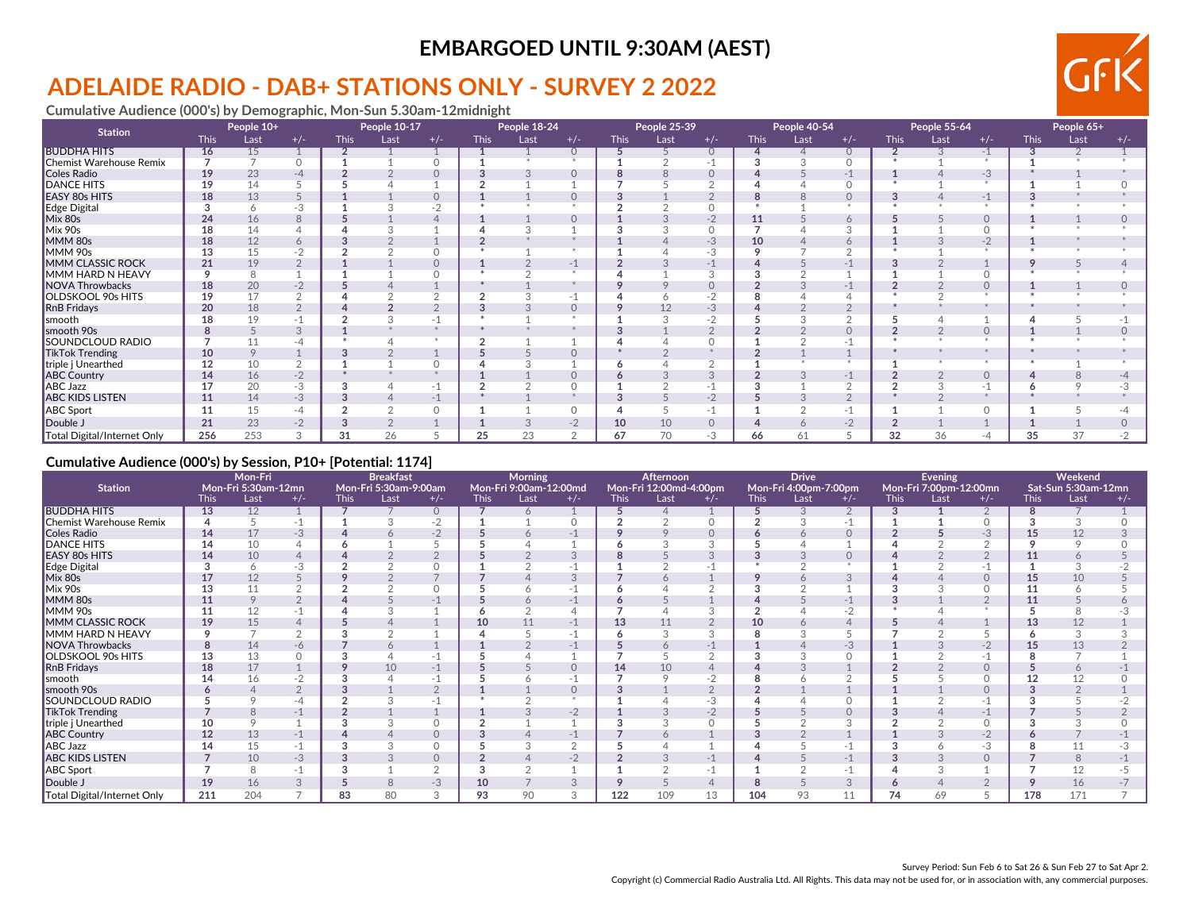# **ADELAIDE RADIO - DAB+ STATIONS ONLY - SURVEY 2 2022**

**Cumulative Audience (000's) by Demographic, Mon-Sun 5.30am-12midnight**

| <b>Station</b>              | People 10+  |      |       | People 10-17 |      |          | People 18-24 |      |          | People 25-39 |      |          | People 40-54 |      |          | People 55-64 |      |       | People 65+  |      |       |
|-----------------------------|-------------|------|-------|--------------|------|----------|--------------|------|----------|--------------|------|----------|--------------|------|----------|--------------|------|-------|-------------|------|-------|
|                             | <b>This</b> | Last | $+/-$ | <b>This</b>  | Last | $+/-$    | <b>This</b>  | Last | $+/-$    | <b>This</b>  | Last | $+/-$    | <b>This</b>  | Last | $+/-$    | <b>This</b>  | Last | $+/-$ | <b>This</b> | Last | $+/-$ |
| <b>BUDDHA HITS</b>          | 16          | 15   |       |              |      |          |              |      |          |              |      | $\circ$  |              |      | $\circ$  |              |      | $-1$  |             |      |       |
| Chemist Warehouse Remix     |             |      |       |              |      | $\cap$   |              |      |          |              |      |          |              |      | $\Omega$ |              |      |       |             |      |       |
| Coles Radio                 | 19          | 23   | $-4$  |              |      | $\Omega$ |              |      | $\Omega$ |              |      |          |              |      | $-1$     |              |      | $-3$  |             |      |       |
| <b>DANCE HITS</b>           | 19          | 14   |       |              |      |          |              |      |          |              |      |          |              |      | $\circ$  |              |      |       |             |      |       |
| <b>EASY 80s HITS</b>        | 18          | 13   |       |              |      | $\Omega$ |              |      |          |              |      |          |              |      | $\Omega$ |              |      | -1    |             |      |       |
| Edge Digital                |             |      | -3    |              |      | $-2$     |              |      |          |              |      |          |              |      |          |              |      |       |             |      |       |
| Mix 80s                     | 24          | 16   |       |              |      |          |              |      | $\Omega$ |              |      | $-2$     | 11           |      | 6        |              |      |       |             |      |       |
| Mix 90s                     |             | 14   |       |              |      |          |              |      |          |              |      |          |              |      |          |              |      |       |             |      |       |
| MMM 80s                     | 18          | 12   |       |              |      |          |              |      |          |              |      | $-3$     | 10           |      | $\circ$  |              |      | $-2$  |             |      |       |
| MMM 90s                     | 13          | 15   |       |              |      | $\Omega$ |              |      |          |              |      | -3       |              |      |          |              |      |       |             |      |       |
| MMM CLASSIC ROCK            | 21          | 19   |       |              |      | $\Omega$ |              |      | -1       |              |      |          |              |      |          |              |      |       |             |      |       |
| MMM HARD N HEAVY            | $\circ$     | 8    |       |              |      | $\Omega$ |              |      |          |              |      |          |              |      |          |              |      |       |             |      |       |
| NOVA Throwbacks             | 18          | 20   | $-2$  |              |      |          |              |      |          |              |      |          |              |      |          |              |      |       |             |      |       |
| OLDSKOOL 90s HITS           | 19          | 17   |       |              |      |          |              |      |          |              |      |          |              |      |          |              |      |       |             |      |       |
| <b>RnB</b> Fridays          | 20          | 18   |       |              |      | $\Omega$ |              |      | $\Omega$ |              | 12   | $-3$     |              |      |          |              |      |       |             |      |       |
| smooth                      |             | 19   |       |              |      | $-1$     |              |      |          |              |      |          |              |      |          |              |      |       |             |      |       |
| smooth 90s                  |             |      |       |              |      |          |              |      |          |              |      |          |              |      | $\Omega$ |              |      |       |             |      |       |
| SOUNDCLOUD RADIO            |             |      |       |              |      |          |              |      |          |              |      |          |              |      |          |              |      |       |             |      |       |
| <b>TikTok Trending</b>      | 10          | 9    |       |              |      |          |              |      | $\Omega$ |              |      |          |              |      |          |              |      |       |             |      |       |
| triple j Unearthed          | 12          | 10   |       |              |      |          |              |      |          |              |      |          |              |      |          |              |      |       |             |      |       |
| <b>ABC Country</b>          | 14          | 16   | $-2$  |              |      |          |              |      | $\Omega$ |              |      |          |              |      | $-1$     |              |      |       |             |      |       |
| <b>ABC Jazz</b>             | 17          | 20   | -3    |              |      | $-1$     |              |      |          |              |      |          |              |      |          |              |      |       |             |      |       |
| <b>ABC KIDS LISTEN</b>      | 11          | 14   | $-3$  |              |      | $-1$     |              |      |          |              |      | $-2$     |              |      | $\Omega$ |              |      |       |             |      |       |
| <b>ABC</b> Sport            | 11          | 15   | -4    |              |      | $\Omega$ |              |      | $\circ$  |              |      | -1       |              |      |          |              |      |       |             |      |       |
| Double J                    | 21          | 23   | $-2$  |              |      |          |              |      | $-2$     | 10           | 10   | $\Omega$ |              |      | $-2$     |              |      |       |             |      |       |
| Total Digital/Internet Only | 256         | 253  |       | 31           | 26   |          | 25           | 23   | C        | 67           | 70   | -3       | 66           | 61   |          | 32           | 36   | -4    | 35          | 37   |       |

#### **Cumulative Audience (000's) by Session, P10+ [Potential: 1174]**

|                             | Mon-Fri<br>Mon-Fri 5:30am-12mn |               |       |             | <b>Breakfast</b>              |                |             | Morning                        |          |             | Afternoon                      |          |             | <b>Drive</b>                  |           |             | Evening                        |          |             | Weekend                     |       |
|-----------------------------|--------------------------------|---------------|-------|-------------|-------------------------------|----------------|-------------|--------------------------------|----------|-------------|--------------------------------|----------|-------------|-------------------------------|-----------|-------------|--------------------------------|----------|-------------|-----------------------------|-------|
| <b>Station</b>              | <b>This</b>                    | Last          | $+/-$ | <b>This</b> | Mon-Fri 5:30am-9:00am<br>Last | $+/-$          | <b>This</b> | Mon-Fri 9:00am-12:00md<br>Last | $+/-$    | <b>This</b> | Mon-Fri 12:00md-4:00pm<br>Last | $+/-$    | <b>This</b> | Mon-Fri 4:00pm-7:00pm<br>Last | $+/-$     | <b>This</b> | Mon-Fri 7:00pm-12:00mn<br>Last | $+/-$    | <b>This</b> | Sat-Sun 5:30am-12mn<br>Last | $+/-$ |
| <b>BUDDHA HITS</b>          | 13                             | 12            |       |             |                               | $\circ$        |             | 6                              |          |             |                                |          |             |                               | 2         | 3           |                                |          |             |                             |       |
| Chemist Warehouse Remix     |                                | 5             |       |             |                               | $-2$           |             |                                |          |             | $\sim$                         |          | $\sim$      |                               | $-1$      |             |                                |          |             |                             |       |
| Coles Radio                 | 14                             | 17            | $-3$  |             |                               | $-2$           |             | $\circ$                        | -1       |             |                                | $\Omega$ |             |                               | $\Omega$  |             |                                | $-3$     | 15          | 12                          |       |
| <b>DANCE HITS</b>           | 14                             | 10            |       |             |                               |                |             |                                |          |             |                                |          |             |                               |           |             |                                |          |             |                             |       |
| <b>EASY 80s HITS</b>        | 14                             | 10            |       |             |                               |                |             |                                |          |             |                                |          |             |                               | 0         |             |                                |          |             | 6                           |       |
| Edge Digital                |                                | 6             | -3    |             |                               | $\Omega$       |             |                                |          |             |                                |          |             |                               | $\ddot{}$ |             |                                |          |             |                             |       |
| Mix 80s                     | 17                             | 12            |       |             |                               |                |             |                                | 3        |             | $\circ$                        |          |             |                               | 3         |             |                                | $\Omega$ | 15          | 10                          |       |
| Mix 90s                     | 13                             | 11            |       |             |                               | $\circ$        |             |                                |          |             |                                |          |             |                               |           |             |                                |          | 11          | Ö                           |       |
| MMM 80s                     |                                | 9             |       |             |                               | -1             |             | 6                              | -1       |             |                                |          |             |                               | -1        |             |                                |          |             |                             |       |
| MMM 90s                     | 11                             | 12            |       |             |                               |                |             |                                |          |             |                                |          |             |                               | $-2$      |             |                                |          |             |                             |       |
| MMM CLASSIC ROCK            | 19                             | 15            |       |             |                               |                | 10          | 11                             | $-1$     | 13          | 11                             |          | 10          |                               |           |             |                                |          | 13          | 12                          |       |
| MMM HARD N HEAVY            |                                |               |       |             |                               |                |             |                                |          |             |                                |          |             |                               |           |             |                                |          |             |                             |       |
| <b>NOVA Throwbacks</b>      | 8                              | 14            | -6    |             |                               |                |             |                                | $-1$     |             |                                |          |             |                               | $-3$      |             |                                | $-2$     | 15          | 13                          |       |
| <b>OLDSKOOL 90s HITS</b>    | 13                             | 13            |       |             |                               | -1             |             |                                |          |             |                                |          |             |                               |           |             |                                |          |             |                             |       |
| RnB Fridays                 | 18                             | 17            |       |             | 10                            | $-1$           |             |                                | $\circ$  | 14          | 10                             |          |             |                               |           |             |                                |          |             | 6                           |       |
| smooth                      |                                | 16            |       |             |                               | -1             |             |                                |          |             |                                |          |             |                               | ◠         |             |                                |          |             | 12                          |       |
| smooth 90s                  |                                | Δ             |       |             |                               | $\overline{2}$ |             |                                | $\Omega$ |             |                                |          |             |                               |           |             |                                |          |             |                             |       |
| SOUNDCLOUD RADIO            |                                |               |       |             |                               | -1             |             |                                |          |             |                                | -3       |             |                               |           |             |                                |          |             |                             |       |
| TikTok Trending             |                                | $\mathcal{B}$ | $-1$  |             |                               |                |             |                                | $-2$     |             |                                | $-2$     |             |                               | $\Omega$  |             |                                | $-1$     |             |                             |       |
| triple j Unearthed          |                                |               |       |             |                               |                |             |                                |          |             |                                |          |             |                               |           |             |                                |          |             |                             |       |
| <b>ABC Country</b>          | 12                             | 13            | $-1$  |             |                               | $\Omega$       |             |                                | $-1$     |             |                                |          |             |                               |           |             |                                | $-2$     |             |                             |       |
| <b>ABC Jazz</b>             |                                | 15            |       |             |                               | $\circ$        |             |                                |          |             |                                |          |             |                               |           |             |                                | -3       |             |                             |       |
| <b>ABC KIDS LISTEN</b>      |                                | 10            | $-3$  |             |                               | $\Omega$       |             |                                | $-2$     |             |                                | $-1$     |             |                               | $-1$      | 3           | 3                              | $\Omega$ |             | 8                           |       |
| ABC Sport                   |                                | 8             | -1    |             |                               | $\Omega$       |             |                                |          |             |                                |          |             |                               | $-1$      |             |                                |          |             | 12                          |       |
| Double J                    | 19                             | 16            | 3     |             |                               | $-3$           | 10          |                                | 3        |             |                                |          | 8           |                               | 3         | $\epsilon$  |                                |          |             | 16                          |       |
| Total Digital/Internet Only | 211                            | 204           |       | 83          | 80                            | 3              | 93          | 90                             | 3        | 122         | 109                            | 13       | 104         | 93                            |           | 74          | 69                             |          | 178         | 171                         |       |

GF